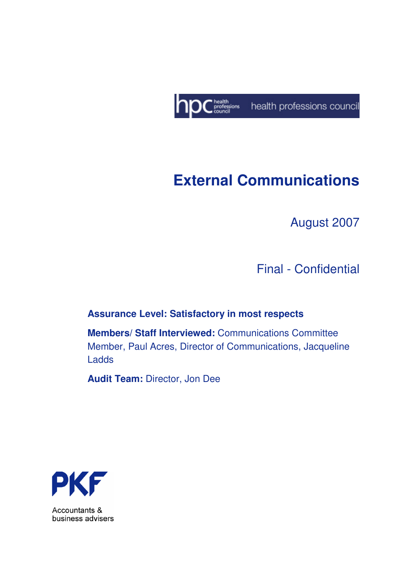

# **External Communications**

August 2007

Final - Confidential

#### **Assurance Level: Satisfactory in most respects**

**Members/ Staff Interviewed:** Communications Committee Member, Paul Acres, Director of Communications, Jacqueline Ladds

**Audit Team:** Director, Jon Dee



Accountants & business advisers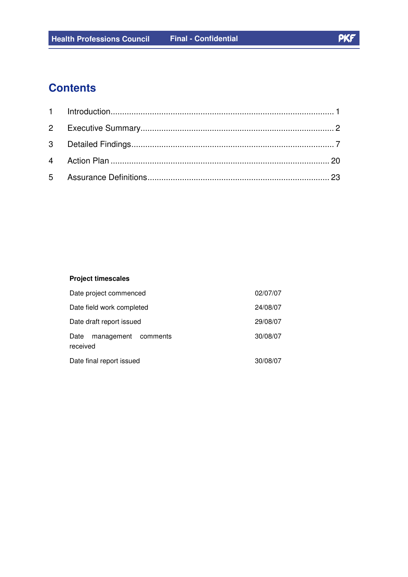## **Contents**

#### **Project timescales**

| Date project commenced                  | 02/07/07 |
|-----------------------------------------|----------|
| Date field work completed               | 24/08/07 |
| Date draft report issued                | 29/08/07 |
| management comments<br>Date<br>received | 30/08/07 |
| Date final report issued                | 30/08/07 |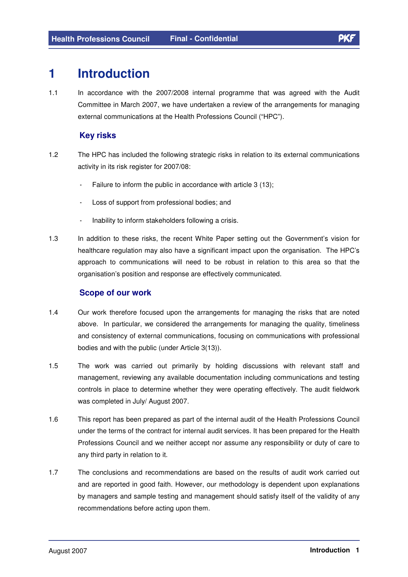### **1 Introduction**

1.1 In accordance with the 2007/2008 internal programme that was agreed with the Audit Committee in March 2007, we have undertaken a review of the arrangements for managing external communications at the Health Professions Council ("HPC").

#### **Key risks**

- 1.2 The HPC has included the following strategic risks in relation to its external communications activity in its risk register for 2007/08:
	- Failure to inform the public in accordance with article 3 (13);
	- Loss of support from professional bodies; and
	- Inability to inform stakeholders following a crisis.
- 1.3 In addition to these risks, the recent White Paper setting out the Government's vision for healthcare regulation may also have a significant impact upon the organisation. The HPC's approach to communications will need to be robust in relation to this area so that the organisation's position and response are effectively communicated.

#### **Scope of our work**

- 1.4 Our work therefore focused upon the arrangements for managing the risks that are noted above. In particular, we considered the arrangements for managing the quality, timeliness and consistency of external communications, focusing on communications with professional bodies and with the public (under Article 3(13)).
- 1.5 The work was carried out primarily by holding discussions with relevant staff and management, reviewing any available documentation including communications and testing controls in place to determine whether they were operating effectively. The audit fieldwork was completed in July/ August 2007.
- 1.6 This report has been prepared as part of the internal audit of the Health Professions Council under the terms of the contract for internal audit services. It has been prepared for the Health Professions Council and we neither accept nor assume any responsibility or duty of care to any third party in relation to it.
- 1.7 The conclusions and recommendations are based on the results of audit work carried out and are reported in good faith. However, our methodology is dependent upon explanations by managers and sample testing and management should satisfy itself of the validity of any recommendations before acting upon them.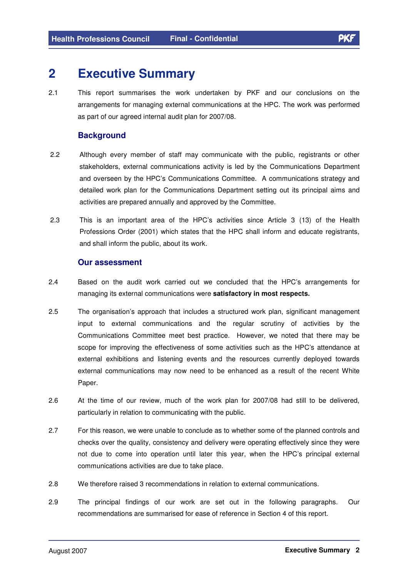# **2 Executive Summary**

2.1 This report summarises the work undertaken by PKF and our conclusions on the arrangements for managing external communications at the HPC. The work was performed as part of our agreed internal audit plan for 2007/08.

#### **Background**

- 2.2 Although every member of staff may communicate with the public, registrants or other stakeholders, external communications activity is led by the Communications Department and overseen by the HPC's Communications Committee. A communications strategy and detailed work plan for the Communications Department setting out its principal aims and activities are prepared annually and approved by the Committee.
- 2.3 This is an important area of the HPC's activities since Article 3 (13) of the Health Professions Order (2001) which states that the HPC shall inform and educate registrants, and shall inform the public, about its work.

#### **Our assessment**

- 2.4 Based on the audit work carried out we concluded that the HPC's arrangements for managing its external communications were **satisfactory in most respects.**
- 2.5 The organisation's approach that includes a structured work plan, significant management input to external communications and the regular scrutiny of activities by the Communications Committee meet best practice. However, we noted that there may be scope for improving the effectiveness of some activities such as the HPC's attendance at external exhibitions and listening events and the resources currently deployed towards external communications may now need to be enhanced as a result of the recent White Paper.
- 2.6 At the time of our review, much of the work plan for 2007/08 had still to be delivered, particularly in relation to communicating with the public.
- 2.7 For this reason, we were unable to conclude as to whether some of the planned controls and checks over the quality, consistency and delivery were operating effectively since they were not due to come into operation until later this year, when the HPC's principal external communications activities are due to take place.
- 2.8 We therefore raised 3 recommendations in relation to external communications.
- 2.9 The principal findings of our work are set out in the following paragraphs. Our recommendations are summarised for ease of reference in Section 4 of this report.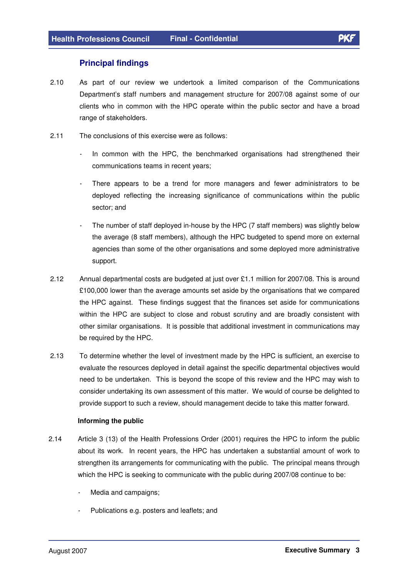#### **Principal findings**

- 2.10 As part of our review we undertook a limited comparison of the Communications Department's staff numbers and management structure for 2007/08 against some of our clients who in common with the HPC operate within the public sector and have a broad range of stakeholders.
- 2.11 The conclusions of this exercise were as follows:
	- In common with the HPC, the benchmarked organisations had strengthened their communications teams in recent years;
	- There appears to be a trend for more managers and fewer administrators to be deployed reflecting the increasing significance of communications within the public sector; and
	- The number of staff deployed in-house by the HPC (7 staff members) was slightly below the average (8 staff members), although the HPC budgeted to spend more on external agencies than some of the other organisations and some deployed more administrative support.
- 2.12 Annual departmental costs are budgeted at just over £1.1 million for 2007/08. This is around £100,000 lower than the average amounts set aside by the organisations that we compared the HPC against. These findings suggest that the finances set aside for communications within the HPC are subject to close and robust scrutiny and are broadly consistent with other similar organisations. It is possible that additional investment in communications may be required by the HPC.
- 2.13 To determine whether the level of investment made by the HPC is sufficient, an exercise to evaluate the resources deployed in detail against the specific departmental objectives would need to be undertaken. This is beyond the scope of this review and the HPC may wish to consider undertaking its own assessment of this matter. We would of course be delighted to provide support to such a review, should management decide to take this matter forward.

#### **Informing the public**

- 2.14 Article 3 (13) of the Health Professions Order (2001) requires the HPC to inform the public about its work. In recent years, the HPC has undertaken a substantial amount of work to strengthen its arrangements for communicating with the public. The principal means through which the HPC is seeking to communicate with the public during 2007/08 continue to be:
	- Media and campaigns:
	- Publications e.g. posters and leaflets; and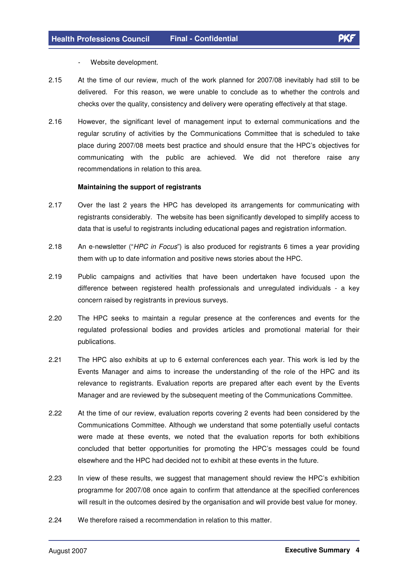- Website development.
- 2.15 At the time of our review, much of the work planned for 2007/08 inevitably had still to be delivered. For this reason, we were unable to conclude as to whether the controls and checks over the quality, consistency and delivery were operating effectively at that stage.
- 2.16 However, the significant level of management input to external communications and the regular scrutiny of activities by the Communications Committee that is scheduled to take place during 2007/08 meets best practice and should ensure that the HPC's objectives for communicating with the public are achieved. We did not therefore raise any recommendations in relation to this area.

#### **Maintaining the support of registrants**

- 2.17 Over the last 2 years the HPC has developed its arrangements for communicating with registrants considerably. The website has been significantly developed to simplify access to data that is useful to registrants including educational pages and registration information.
- 2.18 An e-newsletter ("HPC in Focus") is also produced for registrants 6 times a year providing them with up to date information and positive news stories about the HPC.
- 2.19 Public campaigns and activities that have been undertaken have focused upon the difference between registered health professionals and unregulated individuals - a key concern raised by registrants in previous surveys.
- 2.20 The HPC seeks to maintain a regular presence at the conferences and events for the regulated professional bodies and provides articles and promotional material for their publications.
- 2.21 The HPC also exhibits at up to 6 external conferences each year. This work is led by the Events Manager and aims to increase the understanding of the role of the HPC and its relevance to registrants. Evaluation reports are prepared after each event by the Events Manager and are reviewed by the subsequent meeting of the Communications Committee.
- 2.22 At the time of our review, evaluation reports covering 2 events had been considered by the Communications Committee. Although we understand that some potentially useful contacts were made at these events, we noted that the evaluation reports for both exhibitions concluded that better opportunities for promoting the HPC's messages could be found elsewhere and the HPC had decided not to exhibit at these events in the future.
- 2.23 In view of these results, we suggest that management should review the HPC's exhibition programme for 2007/08 once again to confirm that attendance at the specified conferences will result in the outcomes desired by the organisation and will provide best value for money.
- 2.24 We therefore raised a recommendation in relation to this matter.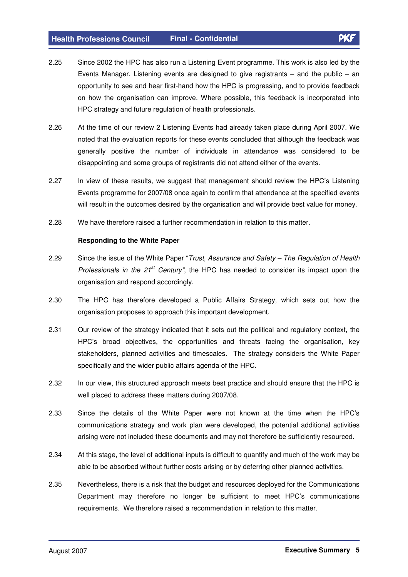- 2.25 Since 2002 the HPC has also run a Listening Event programme. This work is also led by the Events Manager. Listening events are designed to give registrants  $-$  and the public  $-$  an opportunity to see and hear first-hand how the HPC is progressing, and to provide feedback on how the organisation can improve. Where possible, this feedback is incorporated into HPC strategy and future regulation of health professionals.
- 2.26 At the time of our review 2 Listening Events had already taken place during April 2007. We noted that the evaluation reports for these events concluded that although the feedback was generally positive the number of individuals in attendance was considered to be disappointing and some groups of registrants did not attend either of the events.
- 2.27 In view of these results, we suggest that management should review the HPC's Listening Events programme for 2007/08 once again to confirm that attendance at the specified events will result in the outcomes desired by the organisation and will provide best value for money.
- 2.28 We have therefore raised a further recommendation in relation to this matter.

#### **Responding to the White Paper**

- 2.29 Since the issue of the White Paper "Trust, Assurance and Safety The Regulation of Health Professionals in the  $21^{st}$  Century", the HPC has needed to consider its impact upon the organisation and respond accordingly.
- 2.30 The HPC has therefore developed a Public Affairs Strategy, which sets out how the organisation proposes to approach this important development.
- 2.31 Our review of the strategy indicated that it sets out the political and regulatory context, the HPC's broad objectives, the opportunities and threats facing the organisation, key stakeholders, planned activities and timescales. The strategy considers the White Paper specifically and the wider public affairs agenda of the HPC.
- 2.32 In our view, this structured approach meets best practice and should ensure that the HPC is well placed to address these matters during 2007/08.
- 2.33 Since the details of the White Paper were not known at the time when the HPC's communications strategy and work plan were developed, the potential additional activities arising were not included these documents and may not therefore be sufficiently resourced.
- 2.34 At this stage, the level of additional inputs is difficult to quantify and much of the work may be able to be absorbed without further costs arising or by deferring other planned activities.
- 2.35 Nevertheless, there is a risk that the budget and resources deployed for the Communications Department may therefore no longer be sufficient to meet HPC's communications requirements. We therefore raised a recommendation in relation to this matter.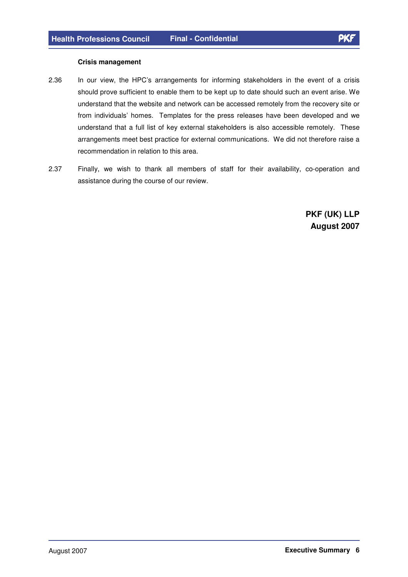#### **Crisis management**

- 2.36 In our view, the HPC's arrangements for informing stakeholders in the event of a crisis should prove sufficient to enable them to be kept up to date should such an event arise. We understand that the website and network can be accessed remotely from the recovery site or from individuals' homes. Templates for the press releases have been developed and we understand that a full list of key external stakeholders is also accessible remotely. These arrangements meet best practice for external communications. We did not therefore raise a recommendation in relation to this area.
- 2.37 Finally, we wish to thank all members of staff for their availability, co-operation and assistance during the course of our review.

**PKF (UK) LLP August 2007**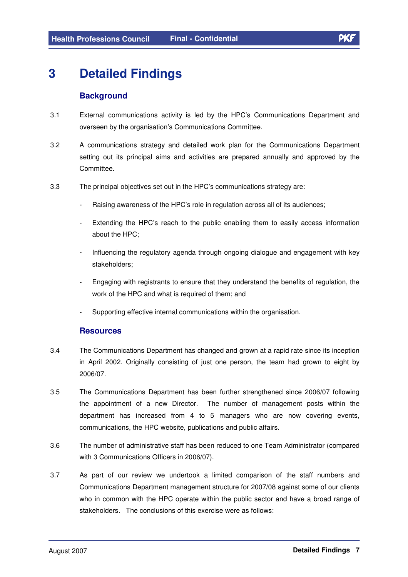# **3 Detailed Findings**

#### **Background**

- 3.1 External communications activity is led by the HPC's Communications Department and overseen by the organisation's Communications Committee.
- 3.2 A communications strategy and detailed work plan for the Communications Department setting out its principal aims and activities are prepared annually and approved by the Committee.
- 3.3 The principal objectives set out in the HPC's communications strategy are:
	- Raising awareness of the HPC's role in regulation across all of its audiences;
	- Extending the HPC's reach to the public enabling them to easily access information about the HPC;
	- Influencing the regulatory agenda through ongoing dialogue and engagement with key stakeholders;
	- Engaging with registrants to ensure that they understand the benefits of regulation, the work of the HPC and what is required of them; and
	- Supporting effective internal communications within the organisation.

#### **Resources**

- 3.4 The Communications Department has changed and grown at a rapid rate since its inception in April 2002. Originally consisting of just one person, the team had grown to eight by 2006/07.
- 3.5 The Communications Department has been further strengthened since 2006/07 following the appointment of a new Director. The number of management posts within the department has increased from 4 to 5 managers who are now covering events, communications, the HPC website, publications and public affairs.
- 3.6 The number of administrative staff has been reduced to one Team Administrator (compared with 3 Communications Officers in 2006/07).
- 3.7 As part of our review we undertook a limited comparison of the staff numbers and Communications Department management structure for 2007/08 against some of our clients who in common with the HPC operate within the public sector and have a broad range of stakeholders. The conclusions of this exercise were as follows: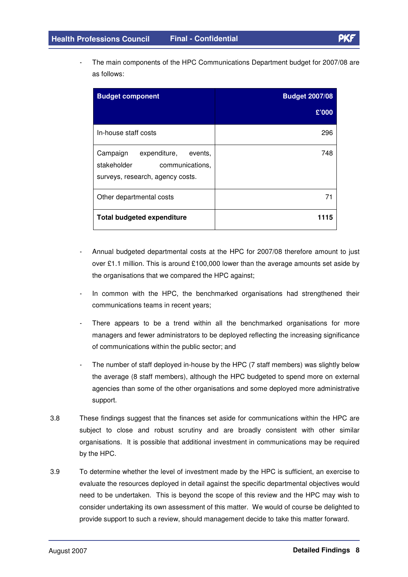The main components of the HPC Communications Department budget for 2007/08 are as follows:

| <b>Budget component</b>                                                                                | <b>Budget 2007/08</b> |
|--------------------------------------------------------------------------------------------------------|-----------------------|
|                                                                                                        | £'000                 |
| In-house staff costs                                                                                   | 296                   |
| Campaign<br>expenditure, events,<br>stakeholder<br>communications,<br>surveys, research, agency costs. | 748                   |
| Other departmental costs                                                                               | 71                    |
| <b>Total budgeted expenditure</b>                                                                      | 1115                  |

- Annual budgeted departmental costs at the HPC for 2007/08 therefore amount to just over £1.1 million. This is around £100,000 lower than the average amounts set aside by the organisations that we compared the HPC against;
- In common with the HPC, the benchmarked organisations had strengthened their communications teams in recent years;
- There appears to be a trend within all the benchmarked organisations for more managers and fewer administrators to be deployed reflecting the increasing significance of communications within the public sector; and
- The number of staff deployed in-house by the HPC (7 staff members) was slightly below the average (8 staff members), although the HPC budgeted to spend more on external agencies than some of the other organisations and some deployed more administrative support.
- 3.8 These findings suggest that the finances set aside for communications within the HPC are subject to close and robust scrutiny and are broadly consistent with other similar organisations. It is possible that additional investment in communications may be required by the HPC.
- 3.9 To determine whether the level of investment made by the HPC is sufficient, an exercise to evaluate the resources deployed in detail against the specific departmental objectives would need to be undertaken. This is beyond the scope of this review and the HPC may wish to consider undertaking its own assessment of this matter. We would of course be delighted to provide support to such a review, should management decide to take this matter forward.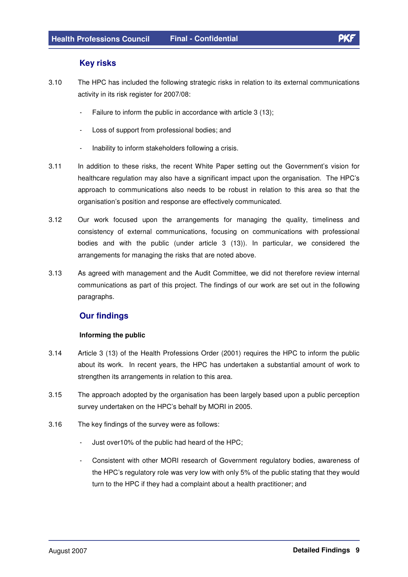#### **Key risks**

- 3.10 The HPC has included the following strategic risks in relation to its external communications activity in its risk register for 2007/08:
	- Failure to inform the public in accordance with article 3 (13);
	- Loss of support from professional bodies; and
	- Inability to inform stakeholders following a crisis.
- 3.11 In addition to these risks, the recent White Paper setting out the Government's vision for healthcare regulation may also have a significant impact upon the organisation. The HPC's approach to communications also needs to be robust in relation to this area so that the organisation's position and response are effectively communicated.
- 3.12 Our work focused upon the arrangements for managing the quality, timeliness and consistency of external communications, focusing on communications with professional bodies and with the public (under article 3 (13)). In particular, we considered the arrangements for managing the risks that are noted above.
- 3.13 As agreed with management and the Audit Committee, we did not therefore review internal communications as part of this project. The findings of our work are set out in the following paragraphs.

#### **Our findings**

#### **Informing the public**

- 3.14 Article 3 (13) of the Health Professions Order (2001) requires the HPC to inform the public about its work. In recent years, the HPC has undertaken a substantial amount of work to strengthen its arrangements in relation to this area.
- 3.15 The approach adopted by the organisation has been largely based upon a public perception survey undertaken on the HPC's behalf by MORI in 2005.
- 3.16 The key findings of the survey were as follows:
	- Just over10% of the public had heard of the HPC;
	- Consistent with other MORI research of Government regulatory bodies, awareness of the HPC's regulatory role was very low with only 5% of the public stating that they would turn to the HPC if they had a complaint about a health practitioner; and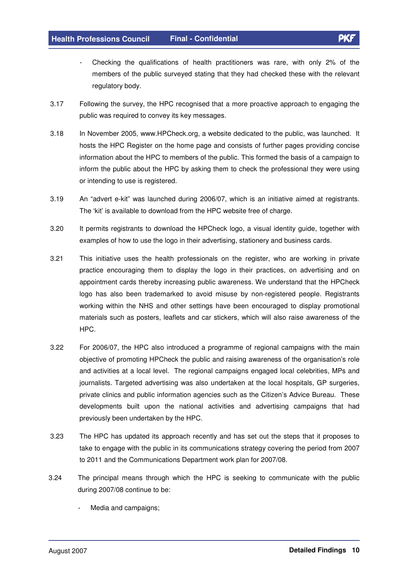- 
- Checking the qualifications of health practitioners was rare, with only 2% of the members of the public surveyed stating that they had checked these with the relevant regulatory body.
- 3.17 Following the survey, the HPC recognised that a more proactive approach to engaging the public was required to convey its key messages.
- 3.18 In November 2005, www.HPCheck.org, a website dedicated to the public, was launched. It hosts the HPC Register on the home page and consists of further pages providing concise information about the HPC to members of the public. This formed the basis of a campaign to inform the public about the HPC by asking them to check the professional they were using or intending to use is registered.
- 3.19 An "advert e-kit" was launched during 2006/07, which is an initiative aimed at registrants. The 'kit' is available to download from the HPC website free of charge.
- 3.20 It permits registrants to download the HPCheck logo, a visual identity guide, together with examples of how to use the logo in their advertising, stationery and business cards.
- 3.21 This initiative uses the health professionals on the register, who are working in private practice encouraging them to display the logo in their practices, on advertising and on appointment cards thereby increasing public awareness. We understand that the HPCheck logo has also been trademarked to avoid misuse by non-registered people. Registrants working within the NHS and other settings have been encouraged to display promotional materials such as posters, leaflets and car stickers, which will also raise awareness of the HPC.
- 3.22 For 2006/07, the HPC also introduced a programme of regional campaigns with the main objective of promoting HPCheck the public and raising awareness of the organisation's role and activities at a local level. The regional campaigns engaged local celebrities, MPs and journalists. Targeted advertising was also undertaken at the local hospitals, GP surgeries, private clinics and public information agencies such as the Citizen's Advice Bureau. These developments built upon the national activities and advertising campaigns that had previously been undertaken by the HPC.
- 3.23 The HPC has updated its approach recently and has set out the steps that it proposes to take to engage with the public in its communications strategy covering the period from 2007 to 2011 and the Communications Department work plan for 2007/08.
- 3.24 The principal means through which the HPC is seeking to communicate with the public during 2007/08 continue to be:
	- Media and campaigns;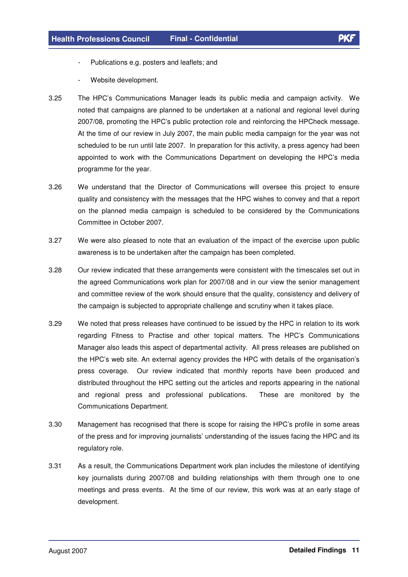- Publications e.g. posters and leaflets; and
- Website development.
- 3.25 The HPC's Communications Manager leads its public media and campaign activity. We noted that campaigns are planned to be undertaken at a national and regional level during 2007/08, promoting the HPC's public protection role and reinforcing the HPCheck message. At the time of our review in July 2007, the main public media campaign for the year was not scheduled to be run until late 2007. In preparation for this activity, a press agency had been appointed to work with the Communications Department on developing the HPC's media programme for the year.
- 3.26 We understand that the Director of Communications will oversee this project to ensure quality and consistency with the messages that the HPC wishes to convey and that a report on the planned media campaign is scheduled to be considered by the Communications Committee in October 2007.
- 3.27 We were also pleased to note that an evaluation of the impact of the exercise upon public awareness is to be undertaken after the campaign has been completed.
- 3.28 Our review indicated that these arrangements were consistent with the timescales set out in the agreed Communications work plan for 2007/08 and in our view the senior management and committee review of the work should ensure that the quality, consistency and delivery of the campaign is subjected to appropriate challenge and scrutiny when it takes place.
- 3.29 We noted that press releases have continued to be issued by the HPC in relation to its work regarding Fitness to Practise and other topical matters. The HPC's Communications Manager also leads this aspect of departmental activity. All press releases are published on the HPC's web site. An external agency provides the HPC with details of the organisation's press coverage. Our review indicated that monthly reports have been produced and distributed throughout the HPC setting out the articles and reports appearing in the national and regional press and professional publications. These are monitored by the Communications Department.
- 3.30 Management has recognised that there is scope for raising the HPC's profile in some areas of the press and for improving journalists' understanding of the issues facing the HPC and its regulatory role.
- 3.31 As a result, the Communications Department work plan includes the milestone of identifying key journalists during 2007/08 and building relationships with them through one to one meetings and press events. At the time of our review, this work was at an early stage of development.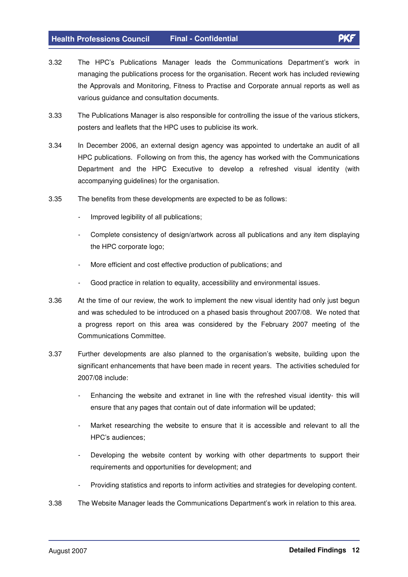- 3.32 The HPC's Publications Manager leads the Communications Department's work in managing the publications process for the organisation. Recent work has included reviewing the Approvals and Monitoring, Fitness to Practise and Corporate annual reports as well as various guidance and consultation documents.
- 3.33 The Publications Manager is also responsible for controlling the issue of the various stickers, posters and leaflets that the HPC uses to publicise its work.
- 3.34 In December 2006, an external design agency was appointed to undertake an audit of all HPC publications. Following on from this, the agency has worked with the Communications Department and the HPC Executive to develop a refreshed visual identity (with accompanying guidelines) for the organisation.
- 3.35 The benefits from these developments are expected to be as follows:
	- Improved legibility of all publications;
	- Complete consistency of design/artwork across all publications and any item displaying the HPC corporate logo;
	- More efficient and cost effective production of publications; and
	- Good practice in relation to equality, accessibility and environmental issues.
- 3.36 At the time of our review, the work to implement the new visual identity had only just begun and was scheduled to be introduced on a phased basis throughout 2007/08. We noted that a progress report on this area was considered by the February 2007 meeting of the Communications Committee.
- 3.37 Further developments are also planned to the organisation's website, building upon the significant enhancements that have been made in recent years. The activities scheduled for 2007/08 include:
	- Enhancing the website and extranet in line with the refreshed visual identity- this will ensure that any pages that contain out of date information will be updated;
	- Market researching the website to ensure that it is accessible and relevant to all the HPC's audiences;
	- Developing the website content by working with other departments to support their requirements and opportunities for development; and
	- Providing statistics and reports to inform activities and strategies for developing content.
- 3.38 The Website Manager leads the Communications Department's work in relation to this area.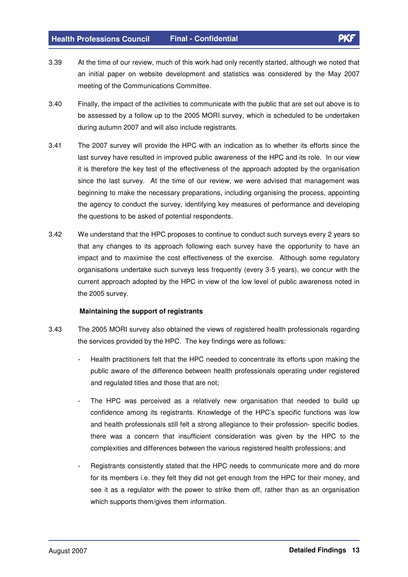- 3.39 At the time of our review, much of this work had only recently started, although we noted that an initial paper on website development and statistics was considered by the May 2007 meeting of the Communications Committee.
- 3.40 Finally, the impact of the activities to communicate with the public that are set out above is to be assessed by a follow up to the 2005 MORI survey, which is scheduled to be undertaken during autumn 2007 and will also include registrants.
- 3.41 The 2007 survey will provide the HPC with an indication as to whether its efforts since the last survey have resulted in improved public awareness of the HPC and its role. In our view it is therefore the key test of the effectiveness of the approach adopted by the organisation since the last survey. At the time of our review, we were advised that management was beginning to make the necessary preparations, including organising the process, appointing the agency to conduct the survey, identifying key measures of performance and developing the questions to be asked of potential respondents.
- 3.42 We understand that the HPC proposes to continue to conduct such surveys every 2 years so that any changes to its approach following each survey have the opportunity to have an impact and to maximise the cost effectiveness of the exercise. Although some regulatory organisations undertake such surveys less frequently (every 3-5 years), we concur with the current approach adopted by the HPC in view of the low level of public awareness noted in the 2005 survey.

#### **Maintaining the support of registrants**

- 3.43 The 2005 MORI survey also obtained the views of registered health professionals regarding the services provided by the HPC. The key findings were as follows:
	- Health practitioners felt that the HPC needed to concentrate its efforts upon making the public aware of the difference between health professionals operating under registered and regulated titles and those that are not;
	- The HPC was perceived as a relatively new organisation that needed to build up confidence among its registrants. Knowledge of the HPC's specific functions was low and health professionals still felt a strong allegiance to their profession- specific bodies. there was a concern that insufficient consideration was given by the HPC to the complexities and differences between the various registered health professions; and
	- Registrants consistently stated that the HPC needs to communicate more and do more for its members i.e. they felt they did not get enough from the HPC for their money, and see it as a regulator with the power to strike them off, rather than as an organisation which supports them/gives them information.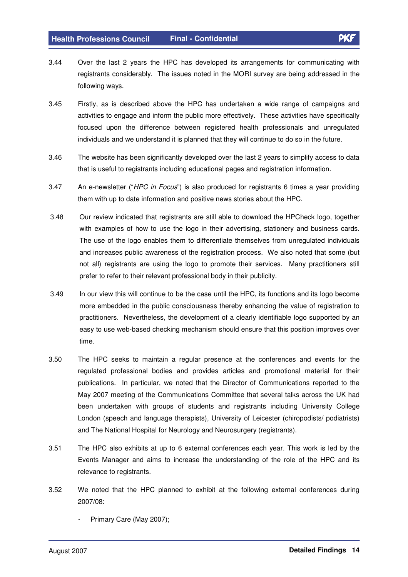- 3.44 Over the last 2 years the HPC has developed its arrangements for communicating with registrants considerably. The issues noted in the MORI survey are being addressed in the following ways.
- 3.45 Firstly, as is described above the HPC has undertaken a wide range of campaigns and activities to engage and inform the public more effectively. These activities have specifically focused upon the difference between registered health professionals and unregulated individuals and we understand it is planned that they will continue to do so in the future.
- 3.46 The website has been significantly developed over the last 2 years to simplify access to data that is useful to registrants including educational pages and registration information.
- 3.47 An e-newsletter ("HPC in Focus") is also produced for registrants 6 times a year providing them with up to date information and positive news stories about the HPC.
- 3.48 Our review indicated that registrants are still able to download the HPCheck logo, together with examples of how to use the logo in their advertising, stationery and business cards. The use of the logo enables them to differentiate themselves from unregulated individuals and increases public awareness of the registration process. We also noted that some (but not all) registrants are using the logo to promote their services. Many practitioners still prefer to refer to their relevant professional body in their publicity.
- 3.49 In our view this will continue to be the case until the HPC, its functions and its logo become more embedded in the public consciousness thereby enhancing the value of registration to practitioners. Nevertheless, the development of a clearly identifiable logo supported by an easy to use web-based checking mechanism should ensure that this position improves over time.
- 3.50 The HPC seeks to maintain a regular presence at the conferences and events for the regulated professional bodies and provides articles and promotional material for their publications. In particular, we noted that the Director of Communications reported to the May 2007 meeting of the Communications Committee that several talks across the UK had been undertaken with groups of students and registrants including University College London (speech and language therapists), University of Leicester (chiropodists/ podiatrists) and The National Hospital for Neurology and Neurosurgery (registrants).
- 3.51 The HPC also exhibits at up to 6 external conferences each year. This work is led by the Events Manager and aims to increase the understanding of the role of the HPC and its relevance to registrants.
- 3.52 We noted that the HPC planned to exhibit at the following external conferences during 2007/08:
	- Primary Care (May 2007);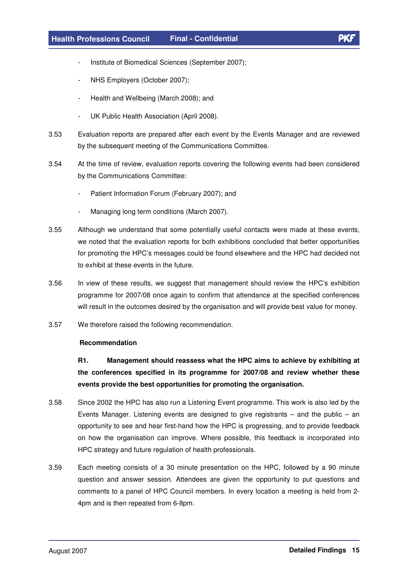- Institute of Biomedical Sciences (September 2007);
- NHS Employers (October 2007);
- Health and Wellbeing (March 2008); and
- UK Public Health Association (April 2008).
- 3.53 Evaluation reports are prepared after each event by the Events Manager and are reviewed by the subsequent meeting of the Communications Committee.
- 3.54 At the time of review, evaluation reports covering the following events had been considered by the Communications Committee:
	- Patient Information Forum (February 2007); and
	- Managing long term conditions (March 2007).
- 3.55 Although we understand that some potentially useful contacts were made at these events, we noted that the evaluation reports for both exhibitions concluded that better opportunities for promoting the HPC's messages could be found elsewhere and the HPC had decided not to exhibit at these events in the future.
- 3.56 In view of these results, we suggest that management should review the HPC's exhibition programme for 2007/08 once again to confirm that attendance at the specified conferences will result in the outcomes desired by the organisation and will provide best value for money.
- 3.57 We therefore raised the following recommendation.

#### **Recommendation**

 **R1. Management should reassess what the HPC aims to achieve by exhibiting at the conferences specified in its programme for 2007/08 and review whether these events provide the best opportunities for promoting the organisation.** 

- 3.58 Since 2002 the HPC has also run a Listening Event programme. This work is also led by the Events Manager. Listening events are designed to give registrants – and the public – an opportunity to see and hear first-hand how the HPC is progressing, and to provide feedback on how the organisation can improve. Where possible, this feedback is incorporated into HPC strategy and future regulation of health professionals.
- 3.59 Each meeting consists of a 30 minute presentation on the HPC, followed by a 90 minute question and answer session. Attendees are given the opportunity to put questions and comments to a panel of HPC Council members. In every location a meeting is held from 2- 4pm and is then repeated from 6-8pm.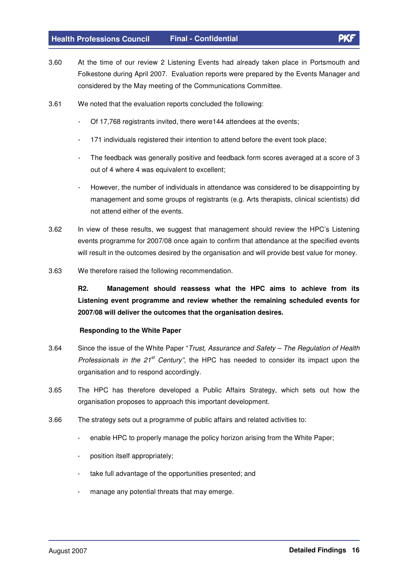- 3.60 At the time of our review 2 Listening Events had already taken place in Portsmouth and Folkestone during April 2007. Evaluation reports were prepared by the Events Manager and considered by the May meeting of the Communications Committee.
- 3.61 We noted that the evaluation reports concluded the following:
	- Of 17,768 registrants invited, there were144 attendees at the events;
	- 171 individuals registered their intention to attend before the event took place;
	- The feedback was generally positive and feedback form scores averaged at a score of 3 out of 4 where 4 was equivalent to excellent;
	- However, the number of individuals in attendance was considered to be disappointing by management and some groups of registrants (e.g. Arts therapists, clinical scientists) did not attend either of the events.
- 3.62 In view of these results, we suggest that management should review the HPC's Listening events programme for 2007/08 once again to confirm that attendance at the specified events will result in the outcomes desired by the organisation and will provide best value for money.
- 3.63 We therefore raised the following recommendation.

**R2. Management should reassess what the HPC aims to achieve from its Listening event programme and review whether the remaining scheduled events for 2007/08 will deliver the outcomes that the organisation desires.**

#### **Responding to the White Paper**

- 3.64 Since the issue of the White Paper "Trust, Assurance and Safety The Regulation of Health Professionals in the  $21^{st}$  Century", the HPC has needed to consider its impact upon the organisation and to respond accordingly.
- 3.65 The HPC has therefore developed a Public Affairs Strategy, which sets out how the organisation proposes to approach this important development.
- 3.66 The strategy sets out a programme of public affairs and related activities to:
	- enable HPC to properly manage the policy horizon arising from the White Paper;
	- position itself appropriately;
	- take full advantage of the opportunities presented; and
	- manage any potential threats that may emerge.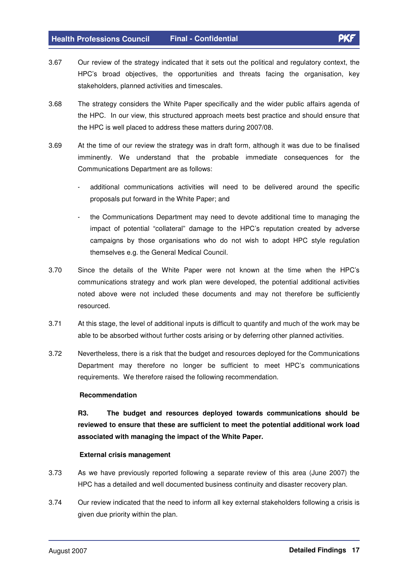- 3.67 Our review of the strategy indicated that it sets out the political and regulatory context, the HPC's broad objectives, the opportunities and threats facing the organisation, key stakeholders, planned activities and timescales.
- 3.68 The strategy considers the White Paper specifically and the wider public affairs agenda of the HPC. In our view, this structured approach meets best practice and should ensure that the HPC is well placed to address these matters during 2007/08.
- 3.69 At the time of our review the strategy was in draft form, although it was due to be finalised imminently. We understand that the probable immediate consequences for the Communications Department are as follows:
	- additional communications activities will need to be delivered around the specific proposals put forward in the White Paper; and
	- the Communications Department may need to devote additional time to managing the impact of potential "collateral" damage to the HPC's reputation created by adverse campaigns by those organisations who do not wish to adopt HPC style regulation themselves e.g. the General Medical Council.
- 3.70 Since the details of the White Paper were not known at the time when the HPC's communications strategy and work plan were developed, the potential additional activities noted above were not included these documents and may not therefore be sufficiently resourced.
- 3.71 At this stage, the level of additional inputs is difficult to quantify and much of the work may be able to be absorbed without further costs arising or by deferring other planned activities.
- 3.72 Nevertheless, there is a risk that the budget and resources deployed for the Communications Department may therefore no longer be sufficient to meet HPC's communications requirements. We therefore raised the following recommendation.

#### **Recommendation**

 **R3. The budget and resources deployed towards communications should be reviewed to ensure that these are sufficient to meet the potential additional work load associated with managing the impact of the White Paper.** 

#### **External crisis management**

- 3.73 As we have previously reported following a separate review of this area (June 2007) the HPC has a detailed and well documented business continuity and disaster recovery plan.
- 3.74 Our review indicated that the need to inform all key external stakeholders following a crisis is given due priority within the plan.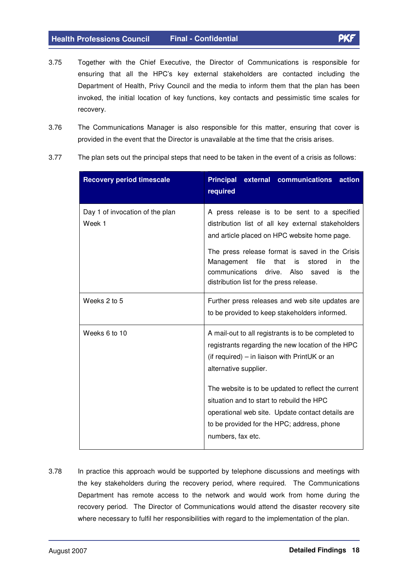- 3.75 Together with the Chief Executive, the Director of Communications is responsible for ensuring that all the HPC's key external stakeholders are contacted including the Department of Health, Privy Council and the media to inform them that the plan has been invoked, the initial location of key functions, key contacts and pessimistic time scales for recovery.
- 3.76 The Communications Manager is also responsible for this matter, ensuring that cover is provided in the event that the Director is unavailable at the time that the crisis arises.
- 3.77 The plan sets out the principal steps that need to be taken in the event of a crisis as follows:

| required                                                                                                                                                                                                                                                                                                                                                                                                      |
|---------------------------------------------------------------------------------------------------------------------------------------------------------------------------------------------------------------------------------------------------------------------------------------------------------------------------------------------------------------------------------------------------------------|
| A press release is to be sent to a specified<br>distribution list of all key external stakeholders<br>and article placed on HPC website home page.<br>The press release format is saved in the Crisis<br>file<br>that<br>the<br>Management<br>is<br>stored<br>in<br>communications<br>drive.<br>Also<br>saved<br>the<br>is<br>distribution list for the press release.                                        |
| Further press releases and web site updates are<br>to be provided to keep stakeholders informed.                                                                                                                                                                                                                                                                                                              |
| A mail-out to all registrants is to be completed to<br>registrants regarding the new location of the HPC<br>(if required) – in liaison with PrintUK or an<br>alternative supplier.<br>The website is to be updated to reflect the current<br>situation and to start to rebuild the HPC<br>operational web site. Update contact details are<br>to be provided for the HPC; address, phone<br>numbers, fax etc. |
|                                                                                                                                                                                                                                                                                                                                                                                                               |

3.78 In practice this approach would be supported by telephone discussions and meetings with the key stakeholders during the recovery period, where required. The Communications Department has remote access to the network and would work from home during the recovery period. The Director of Communications would attend the disaster recovery site where necessary to fulfil her responsibilities with regard to the implementation of the plan.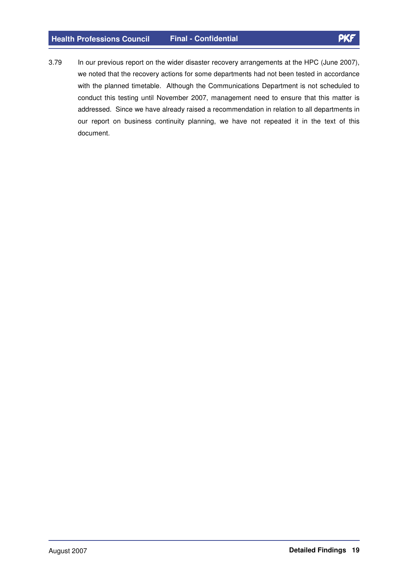3.79 In our previous report on the wider disaster recovery arrangements at the HPC (June 2007), we noted that the recovery actions for some departments had not been tested in accordance with the planned timetable. Although the Communications Department is not scheduled to conduct this testing until November 2007, management need to ensure that this matter is addressed. Since we have already raised a recommendation in relation to all departments in our report on business continuity planning, we have not repeated it in the text of this document.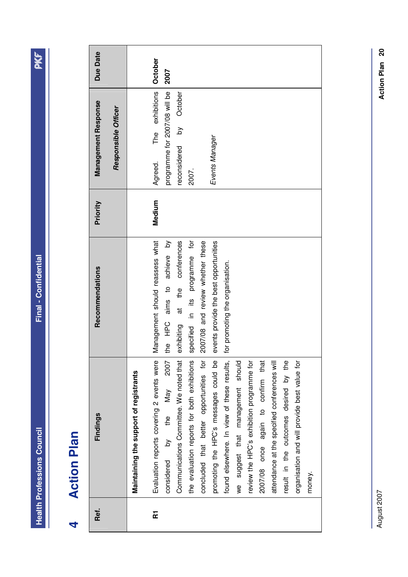**Health Professions Council Final - Confidential Health Professions Council** 

# **Action Plan 4 Action Plan**   $\overline{a}$

| Ref.                    | Findings                                     | Recommendations                       | Priority | Management Response           | Due Date |
|-------------------------|----------------------------------------------|---------------------------------------|----------|-------------------------------|----------|
|                         |                                              |                                       |          | Responsible Officer           |          |
|                         | Maintaining the support of registrants       |                                       |          |                               |          |
| $\overline{\mathbf{r}}$ | Evaluation reports covering 2 events were    | Management should reassess what       | Medium   | The exhibitions<br>Agreed.    | October  |
|                         | 2007<br>by the May<br>considered             | the HPC aims to achieve by            |          | programme for 2007/08 will be | 2007     |
|                         | Communications Committee. We noted that      | conferences<br>exhibiting at the      |          | by October<br>reconsidered    |          |
|                         | the evaluation reports for both exhibitions  | specified in its programme for        |          | 2007.                         |          |
|                         | concluded that better opportunities for      | 2007/08 and review whether these      |          |                               |          |
|                         | promoting the HPC's messages could be        | events provide the best opportunities |          | Events Manager                |          |
|                         | found elsewhere. In view of these results,   | for promoting the organisation.       |          |                               |          |
|                         | we suggest that management should            |                                       |          |                               |          |
|                         | review the HPC's exhibition programme for    |                                       |          |                               |          |
|                         | 2007/08 once again to confirm that           |                                       |          |                               |          |
|                         | attendance at the specified conferences will |                                       |          |                               |          |
|                         | result in the outcomes desired by the        |                                       |          |                               |          |
|                         | organisation and will provide best value for |                                       |          |                               |          |
|                         | money.                                       |                                       |          |                               |          |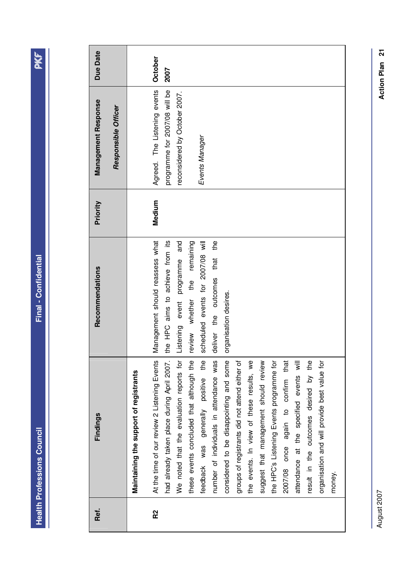**Health Professions Council Final - Confidential Health Professions Council** 

| Ref.           | Findings                                                                               | Recommendations                                                       | Priority | Management Response                                            | <b>Due Date</b> |
|----------------|----------------------------------------------------------------------------------------|-----------------------------------------------------------------------|----------|----------------------------------------------------------------|-----------------|
|                |                                                                                        |                                                                       |          | Responsible Officer                                            |                 |
|                | Maintaining the support of registrants                                                 |                                                                       |          |                                                                |                 |
| R <sub>2</sub> | At the time of our review 2 Listening Events                                           | Management should reassess what                                       | Medium   | Agreed. The Listening events                                   | October         |
|                | had already taken place during April 2007.<br>We noted that the evaluation reports for | the HPC aims to achieve from its<br>Listening event programme and     |          | programme for 2007/08 will be<br>reconsidered by October 2007. | 2007            |
|                | these events concluded that although the                                               | review whether the remaining                                          |          | Events Manager                                                 |                 |
|                | feedback was generally positive the<br>number of individuals in attendance was         | scheduled events for 2007/08 will<br>the<br>deliver the outcomes that |          |                                                                |                 |
|                | considered to be disappointing and some                                                | organisation desires.                                                 |          |                                                                |                 |
|                | groups of registrants did not attend either of                                         |                                                                       |          |                                                                |                 |
|                | the events. In view of these results, we                                               |                                                                       |          |                                                                |                 |
|                | suggest that management should review                                                  |                                                                       |          |                                                                |                 |
|                | the HPC's Listening Events programme for                                               |                                                                       |          |                                                                |                 |
|                | 2007/08 once again to confirm that                                                     |                                                                       |          |                                                                |                 |
|                | attendance at the specified events will                                                |                                                                       |          |                                                                |                 |
|                | result in the outcomes desired by the                                                  |                                                                       |          |                                                                |                 |
|                | organisation and will provide best value for                                           |                                                                       |          |                                                                |                 |
|                | money.                                                                                 |                                                                       |          |                                                                |                 |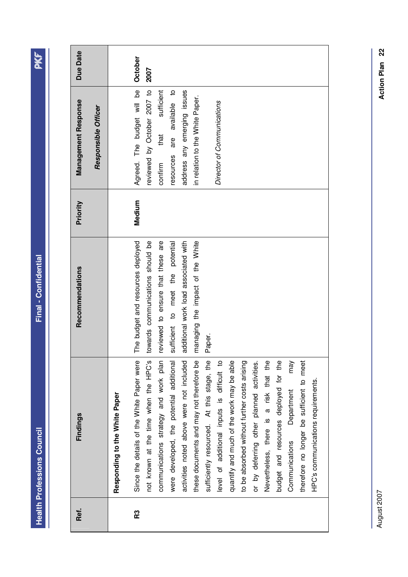| г |
|---|
|   |
|   |
| į |
| ı |
|   |
|   |
|   |
|   |
|   |
|   |
|   |
| Г |
|   |
|   |
|   |
|   |
|   |
|   |
|   |
|   |
|   |

PKF

| Final - Confidential              |
|-----------------------------------|
|                                   |
|                                   |
|                                   |
|                                   |
|                                   |
|                                   |
|                                   |
|                                   |
|                                   |
|                                   |
|                                   |
|                                   |
|                                   |
|                                   |
|                                   |
|                                   |
|                                   |
|                                   |
|                                   |
|                                   |
|                                   |
|                                   |
|                                   |
|                                   |
|                                   |
|                                   |
|                                   |
|                                   |
|                                   |
|                                   |
|                                   |
|                                   |
|                                   |
|                                   |
|                                   |
|                                   |
|                                   |
|                                   |
|                                   |
|                                   |
|                                   |
|                                   |
|                                   |
|                                   |
|                                   |
|                                   |
|                                   |
|                                   |
|                                   |
|                                   |
|                                   |
|                                   |
|                                   |
|                                   |
|                                   |
|                                   |
|                                   |
|                                   |
|                                   |
|                                   |
|                                   |
|                                   |
|                                   |
|                                   |
|                                   |
|                                   |
|                                   |
|                                   |
|                                   |
|                                   |
|                                   |
|                                   |
|                                   |
|                                   |
|                                   |
|                                   |
|                                   |
|                                   |
|                                   |
|                                   |
|                                   |
|                                   |
|                                   |
|                                   |
|                                   |
|                                   |
|                                   |
|                                   |
|                                   |
|                                   |
|                                   |
|                                   |
| <b>Health Professions Council</b> |

| <b>Due Date</b>     |                     |                               | October                                   | 2007                                 |                                       |                                          |                                          |                                          |                                            |                                            |                                           |                                              |                                           |                                        |                                       |                                     |                                           |                                    |
|---------------------|---------------------|-------------------------------|-------------------------------------------|--------------------------------------|---------------------------------------|------------------------------------------|------------------------------------------|------------------------------------------|--------------------------------------------|--------------------------------------------|-------------------------------------------|----------------------------------------------|-------------------------------------------|----------------------------------------|---------------------------------------|-------------------------------------|-------------------------------------------|------------------------------------|
| Management Response | Responsible Officer |                               | Agreed. The budget will be                | reviewed by October 2007 to          | sufficient<br>that<br>confirm         | are available to<br>resources            | address any emerging issues              | in relation to the White Paper.          |                                            | Director of Communications                 |                                           |                                              |                                           |                                        |                                       |                                     |                                           |                                    |
| Priority            |                     |                               | Medium                                    |                                      |                                       |                                          |                                          |                                          |                                            |                                            |                                           |                                              |                                           |                                        |                                       |                                     |                                           |                                    |
| Recommendations     |                     |                               | The budget and resources deployed         | towards communications should be     | reviewed to ensure that these are     | sufficient to meet the potential         | additional work load associated with     | managing the impact of the White         | Paper.                                     |                                            |                                           |                                              |                                           |                                        |                                       |                                     |                                           |                                    |
| Findings            |                     | Responding to the White Paper | Since the details of the White Paper were | not known at the time when the HPC's | communications strategy and work plan | were developed, the potential additional | activities noted above were not included | these documents and may not therefore be | sufficiently resourced. At this stage, the | level of additional inputs is difficult to | quantify and much of the work may be able | to be absorbed without further costs arising | or by deferring other planned activities. | Nevertheless, there is a risk that the | budget and resources deployed for the | may<br>Department<br>Communications | therefore no longer be sufficient to meet | HPC's communications requirements. |
| Ref.                |                     |                               | R3                                        |                                      |                                       |                                          |                                          |                                          |                                            |                                            |                                           |                                              |                                           |                                        |                                       |                                     |                                           |                                    |

Action Plan 22 **Action Plan 22**